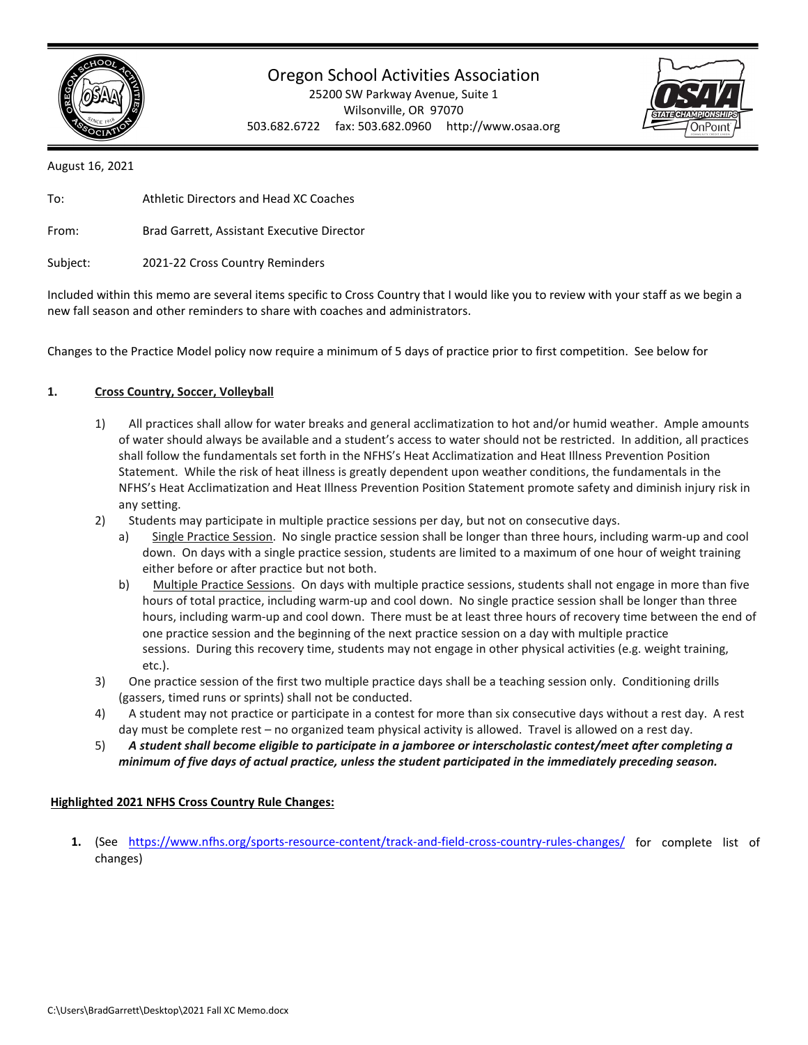

## Oregon School Activities Association

25200 SW Parkway Avenue, Suite 1 Wilsonville, OR 97070 503.682.6722 fax: 503.682.0960 http://www.osaa.org



August 16, 2021

| To:      | Athletic Directors and Head XC Coaches     |
|----------|--------------------------------------------|
| From:    | Brad Garrett, Assistant Executive Director |
| Subject: | 2021-22 Cross Country Reminders            |

Included within this memo are several items specific to Cross Country that I would like you to review with your staff as we begin a new fall season and other reminders to share with coaches and administrators.

Changes to the Practice Model policy now require a minimum of 5 days of practice prior to first competition. See below for

### **1. Cross Country, Soccer, Volleyball**

- 1) All practices shall allow for water breaks and general acclimatization to hot and/or humid weather. Ample amounts of water should always be available and a student's access to water should not be restricted. In addition, all practices shall follow the fundamentals set forth in the NFHS's Heat Acclimatization and Heat Illness Prevention Position Statement. While the risk of heat illness is greatly dependent upon weather conditions, the fundamentals in the NFHS's Heat Acclimatization and Heat Illness Prevention Position Statement promote safety and diminish injury risk in any setting.
- 2) Students may participate in multiple practice sessions per day, but not on consecutive days.
	- a) Single Practice Session. No single practice session shall be longer than three hours, including warm-up and cool down. On days with a single practice session, students are limited to a maximum of one hour of weight training either before or after practice but not both.
	- b) Multiple Practice Sessions. On days with multiple practice sessions, students shall not engage in more than five hours of total practice, including warm-up and cool down. No single practice session shall be longer than three hours, including warm-up and cool down. There must be at least three hours of recovery time between the end of one practice session and the beginning of the next practice session on a day with multiple practice sessions. During this recovery time, students may not engage in other physical activities (e.g. weight training, etc.).
- 3) One practice session of the first two multiple practice days shall be a teaching session only. Conditioning drills (gassers, timed runs or sprints) shall not be conducted.
- 4) A student may not practice or participate in a contest for more than six consecutive days without a rest day. A rest day must be complete rest – no organized team physical activity is allowed. Travel is allowed on a rest day.
- 5) *A student shall become eligible to participate in a jamboree or interscholastic contest/meet after completing a minimum of five days of actual practice, unless the student participated in the immediately preceding season.*

## **Highlighted 2021 NFHS Cross Country Rule Changes:**

**1.** (See <https://www.nfhs.org/sports-resource-content/track-and-field-cross-country-rules-changes/> for complete list of changes)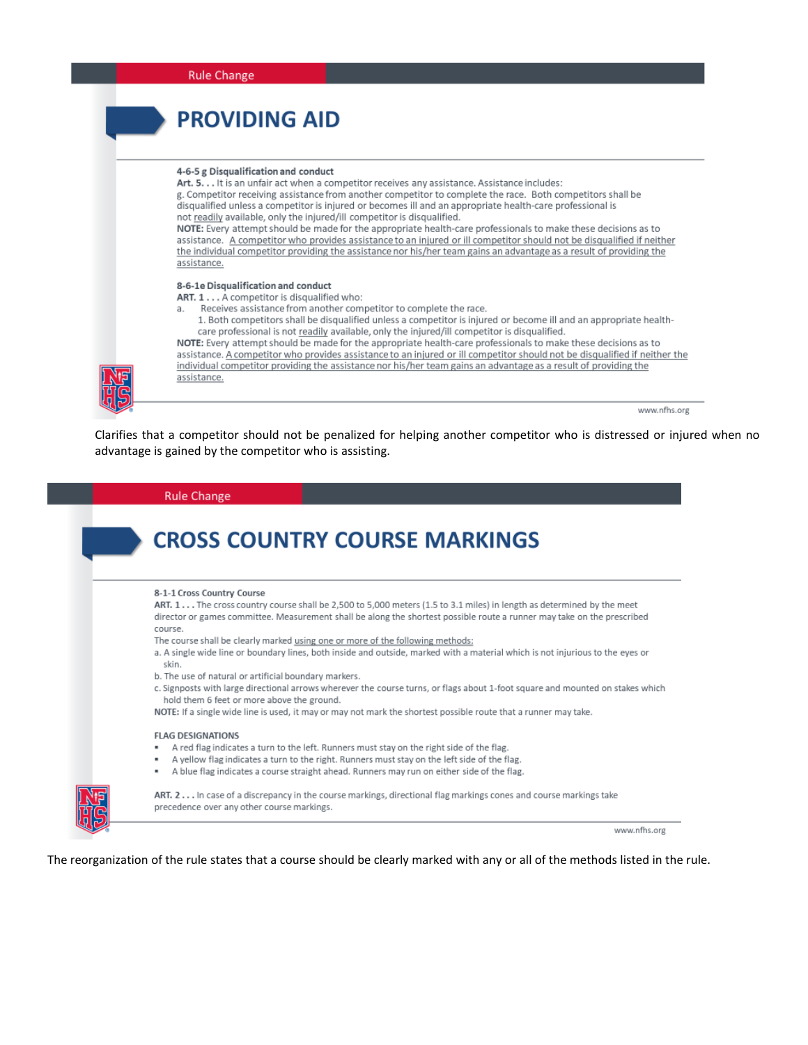| <b>Rule Change</b>                                                                                                                                                                                                                                                                                                                                                                                                                                                                                                                                                                                                                                                                                                                                                                                                          |
|-----------------------------------------------------------------------------------------------------------------------------------------------------------------------------------------------------------------------------------------------------------------------------------------------------------------------------------------------------------------------------------------------------------------------------------------------------------------------------------------------------------------------------------------------------------------------------------------------------------------------------------------------------------------------------------------------------------------------------------------------------------------------------------------------------------------------------|
| <b>PROVIDING AID</b>                                                                                                                                                                                                                                                                                                                                                                                                                                                                                                                                                                                                                                                                                                                                                                                                        |
| 4-6-5 g Disqualification and conduct<br>Art. 5. It is an unfair act when a competitor receives any assistance. Assistance includes:<br>g. Competitor receiving assistance from another competitor to complete the race. Both competitors shall be<br>disqualified unless a competitor is injured or becomes ill and an appropriate health-care professional is<br>not readily available, only the injured/ill competitor is disqualified.<br>NOTE: Every attempt should be made for the appropriate health-care professionals to make these decisions as to<br>assistance. A competitor who provides assistance to an injured or ill competitor should not be disqualified if neither<br>the individual competitor providing the assistance nor his/her team gains an advantage as a result of providing the<br>assistance. |
| 8-6-1e Disqualification and conduct<br>ART. 1 A competitor is disqualified who:<br>Receives assistance from another competitor to complete the race.<br>a.<br>1. Both competitors shall be disqualified unless a competitor is injured or become ill and an appropriate health-<br>care professional is not readily available, only the injured/ill competitor is disqualified.<br>NOTE: Every attempt should be made for the appropriate health-care professionals to make these decisions as to<br>assistance. A competitor who provides assistance to an injured or ill competitor should not be disqualified if neither the<br>individual competitor providing the assistance nor his/her team gains an advantage as a result of providing the<br>assistance.                                                           |
| www.nfhs.org                                                                                                                                                                                                                                                                                                                                                                                                                                                                                                                                                                                                                                                                                                                                                                                                                |

Clarifies that a competitor should not be penalized for helping another competitor who is distressed or injured when no advantage is gained by the competitor who is assisting.

#### **Rule Change**

## **CROSS COUNTRY COURSE MARKINGS** 8-1-1 Cross Country Course ART. 1... The cross country course shall be 2,500 to 5,000 meters (1.5 to 3.1 miles) in length as determined by the meet director or games committee. Measurement shall be along the shortest possible route a runner may take on the prescribed course. The course shall be clearly marked using one or more of the following methods: a. A single wide line or boundary lines, both inside and outside, marked with a material which is not injurious to the eyes or skin. b. The use of natural or artificial boundary markers. c. Signposts with large directional arrows wherever the course turns, or flags about 1-foot square and mounted on stakes which hold them 6 feet or more above the ground. NOTE: If a single wide line is used, it may or may not mark the shortest possible route that a runner may take. **FLAG DESIGNATIONS** A red flag indicates a turn to the left. Runners must stay on the right side of the flag. A yellow flag indicates a turn to the right. Runners must stay on the left side of the flag. A blue flag indicates a course straight ahead. Runners may run on either side of the flag. ART. 2... In case of a discrepancy in the course markings, directional flag markings cones and course markings take precedence over any other course markings.

www.nfhs.org

The reorganization of the rule states that a course should be clearly marked with any or all of the methods listed in the rule.